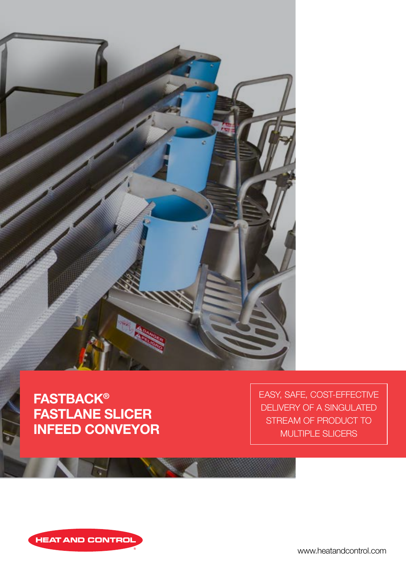

## **FASTBACK®** FASTLANE SLICER INFEED CONVEYOR

EASY, SAFE, COST-EFFECTIVE DELIVERY OF A SINGULATED STREAM OF PRODUCT TO MULTIPLE SLICERS



www.heatandcontrol.com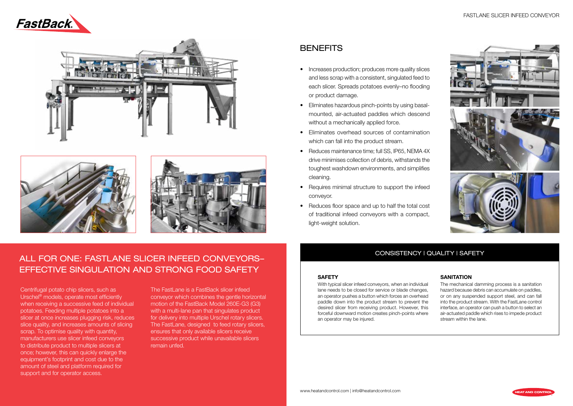





## **BENEFITS**

Centrifugal potato chip slicers, such as The of any horizontal motion conveyor, delivering twice the rate Urschel<sup>®</sup> models, operate most efficiently expression conv when receiving a successive feed of individual and motimument from potatoes. Feeding multiple potatoes into a  $F_{\rm 100}$  manufacturers who demand the best performance  $\mu$  may be the best performance  $\mu$ slice quality, and increases amounts of slicing  $\begin{bmatrix} \begin{array}{c} \begin{array}{c} \begin{array}{c} \begin{array}{c} \end{array} \\ \end{array} & \begin{array}{c} \begin{array}{c} \end{array} \\ \end{array} & \begin{array}{c} \begin{array}{c} \end{array} \\ \end{array} & \begin{array}{c} \end{array} & \begin{array}{c} \end{array} \\ \end{bmatrix} & \begin{array}{c} \begin{array}{c} \end{array} & \begin{array}{c} \end{array} & \begin{array}{c} \$ scrap. To optimise quality with quantity, to distribute product to multiple slicers at the complete testing center to support to support to support to support to support to support to support to support to support to support to support to support to support to dis once; however, this can quickly enlarge the knowledge once; however, this can quickly enlarge the equipment's footprint and cost due to the slicer at once increases plugging risk, reduces manufacturers use slicer infeed conveyors amount of steel and platform required for support and for operator access.

### FASTLANE SLICER INFEED CONVEYOR



#### **SANITATION**

## CONSISTENCY | QUALITY | SAFETY

The FastLane is a FastBack slicer infeed conveyor which combines the gentle horizontal motion of the FastBack Model 260E-G3 (G3) with a multi-lane pan that singulates product for delivery into multiple Urschel rotary slicers. The FastLane, designed to feed rotary slicers, ensures that only available slicers receive successive product while unavailable slicers remain unfed.

#### **SAFETY**

## ALL FOR ONE: FASTLANE SLICER INFEED CONVEYORS– EFFECTIVE SINGULATION AND STRONG FOOD SAFETY

With typical slicer infeed conveyors, when an individual lane needs to be closed for service or blade changes, an operator pushes a button which forces an overhead paddle down into the product stream to prevent the desired slicer from receiving product. However, this forceful downward motion creates pinch-points where an operator may be injured.

The mechanical damming process is a sanitation hazard because debris can accumulate on paddles, or on any suspended support steel, and can fall into the product stream. With the FastLane control interface, an operator can push a button to select an air-actuated paddle which rises to impede product stream within the lane.

- Increases production; produces more quality slices and less scrap with a consistent, singulated feed to each slicer. Spreads potatoes evenly–no flooding or product damage.
- Eliminates hazardous pinch-points by using basalmounted, air-actuated paddles which descend without a mechanically applied force.
- Eliminates overhead sources of contamination which can fall into the product stream.
- Reduces maintenance time: full SS, IP65, NEMA 4X drive minimises collection of debris, withstands the toughest washdown environments, and simplifies cleaning.
- Requires minimal structure to support the infeed conveyor.
- Reduces floor space and up to half the total cost of traditional infeed conveyors with a compact, light-weight solution.